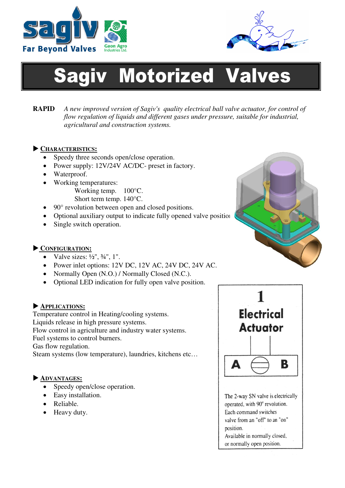



# Sagiv Motorized Valves

**RAPID** *A new improved version of Sagiv's quality electrical ball valve actuator, for control of flow regulation of liquids and different gases under pressure, suitable for industrial, agricultural and construction systems.* 

## **CHARACTERISTICS:**

- Speedy three seconds open/close operation.
- Power supply: 12V/24V AC/DC- preset in factory.
- Waterproof.
- Working temperatures:
	- Working temp. 100°C.
	- Short term temp. 140°C.
- 90° revolution between open and closed positions.
- Optional auxiliary output to indicate fully opened valve position
- Single switch operation.

## **CONFIGURATION:**

- Valve sizes:  $\frac{1}{2}$ ",  $\frac{3}{4}$ ", 1".
- Power inlet options: 12V DC, 12V AC, 24V DC, 24V AC.
- Normally Open (N.O.) / Normally Closed (N.C.).
- Optional LED indication for fully open valve position.

## **APPLICATIONS:**

Temperature control in Heating/cooling systems. Liquids release in high pressure systems. Flow control in agriculture and industry water systems. Fuel systems to control burners. Gas flow regulation. Steam systems (low temperature), laundries, kitchens etc…

## **ADVANTAGES:**

- Speedy open/close operation.
- Easy installation.
- Reliable.
- Heavy duty.





The 2-way SN valve is electrically operated, with 90° revolution. Each command switches valve from an "off" to an "on" position. Available in normally closed,

or normally open position.